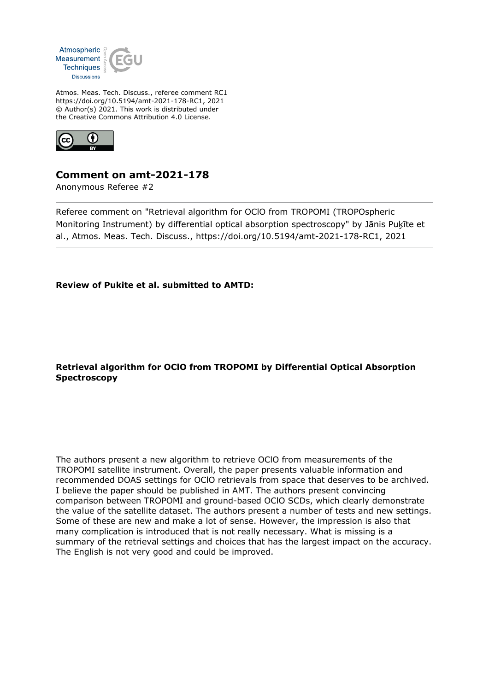

Atmos. Meas. Tech. Discuss., referee comment RC1 https://doi.org/10.5194/amt-2021-178-RC1, 2021 © Author(s) 2021. This work is distributed under the Creative Commons Attribution 4.0 License.



# **Comment on amt-2021-178**

Anonymous Referee #2

Referee comment on "Retrieval algorithm for OClO from TROPOMI (TROPOspheric Monitoring Instrument) by differential optical absorption spectroscopy" by Jānis Puķīte et al., Atmos. Meas. Tech. Discuss., https://doi.org/10.5194/amt-2021-178-RC1, 2021

**Review of Pukite et al. submitted to AMTD:**

## **Retrieval algorithm for OClO from TROPOMI by Differential Optical Absorption Spectroscopy**

The authors present a new algorithm to retrieve OClO from measurements of the TROPOMI satellite instrument. Overall, the paper presents valuable information and recommended DOAS settings for OClO retrievals from space that deserves to be archived. I believe the paper should be published in AMT. The authors present convincing comparison between TROPOMI and ground-based OClO SCDs, which clearly demonstrate the value of the satellite dataset. The authors present a number of tests and new settings. Some of these are new and make a lot of sense. However, the impression is also that many complication is introduced that is not really necessary. What is missing is a summary of the retrieval settings and choices that has the largest impact on the accuracy. The English is not very good and could be improved.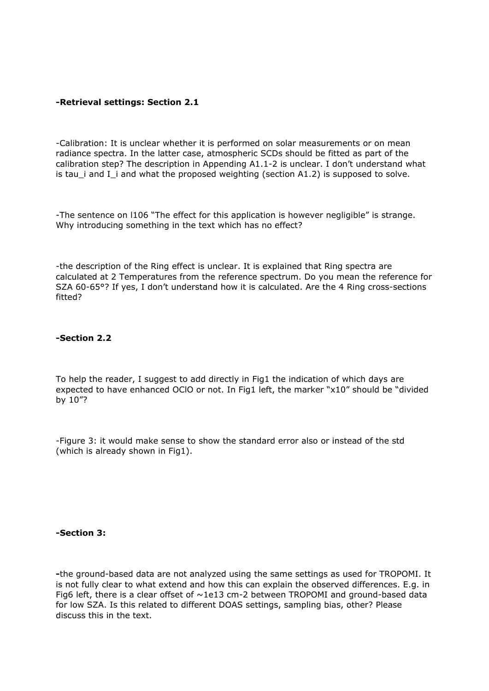### **-Retrieval settings: Section 2.1**

-Calibration: It is unclear whether it is performed on solar measurements or on mean radiance spectra. In the latter case, atmospheric SCDs should be fitted as part of the calibration step? The description in Appending A1.1-2 is unclear. I don't understand what is tau\_i and I\_i and what the proposed weighting (section A1.2) is supposed to solve.

-The sentence on l106 "The effect for this application is however negligible" is strange. Why introducing something in the text which has no effect?

-the description of the Ring effect is unclear. It is explained that Ring spectra are calculated at 2 Temperatures from the reference spectrum. Do you mean the reference for SZA 60-65°? If yes, I don't understand how it is calculated. Are the 4 Ring cross-sections fitted?

#### **-Section 2.2**

To help the reader, I suggest to add directly in Fig1 the indication of which days are expected to have enhanced OCIO or not. In Fig1 left, the marker "x10" should be "divided by 10"?

-Figure 3: it would make sense to show the standard error also or instead of the std (which is already shown in Fig1).

**-Section 3:** 

**-**the ground-based data are not analyzed using the same settings as used for TROPOMI. It is not fully clear to what extend and how this can explain the observed differences. E.g. in Fig6 left, there is a clear offset of  $\sim$ 1e13 cm-2 between TROPOMI and ground-based data for low SZA. Is this related to different DOAS settings, sampling bias, other? Please discuss this in the text.